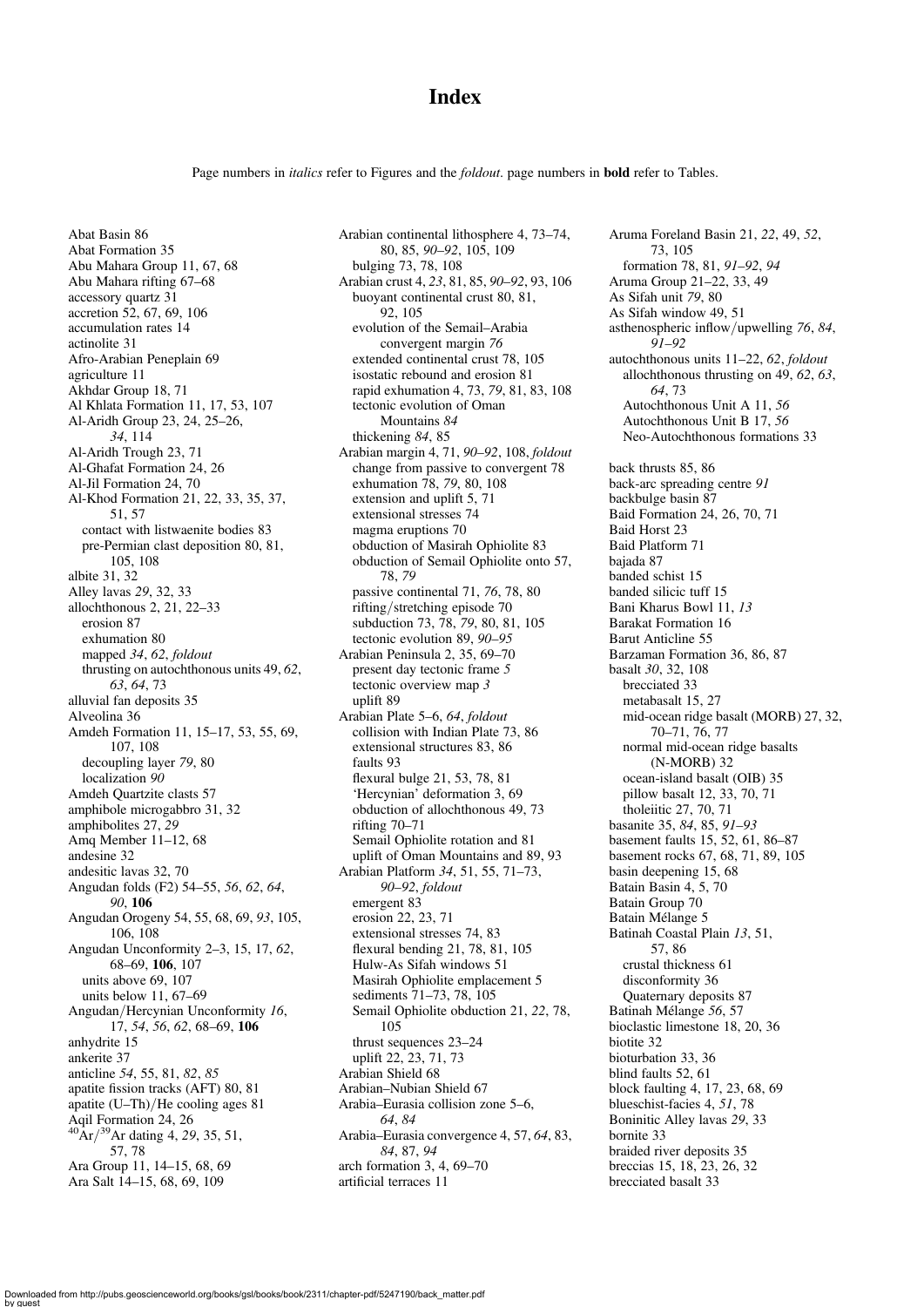# Index

Page numbers in *italics* refer to Figures and the *foldout*. page numbers in **bold** refer to Tables.

Abat Basin 86 Abat Formation 35 Abu Mahara Group 11, 67, 68 Abu Mahara rifting 67–68 accessory quartz 31 accretion 52, 67, 69, 106 accumulation rates 14 actinolite 31 Afro-Arabian Peneplain 69 agriculture 11 Akhdar Group 18, 71 Al Khlata Formation 11, 17, 53, 107 Al-Aridh Group 23, 24, 25–26, 34, 114 Al-Aridh Trough 23, 71 Al-Ghafat Formation 24, 26 Al-Jil Formation 24, 70 Al-Khod Formation 21, 22, 33, 35, 37, 51, 57 contact with listwaenite bodies 83 pre-Permian clast deposition 80, 81, 105, 108 albite 31, 32 Alley lavas 29, 32, 33 allochthonous 2, 21, 22–33 erosion 87 exhumation 80 mapped 34, 62, foldout thrusting on autochthonous units 49, 62, 63, 64, 73 alluvial fan deposits 35 Alveolina 36 Amdeh Formation 11, 15–17, 53, 55, 69, 107, 108 decoupling layer 79, 80 localization 90 Amdeh Quartzite clasts 57 amphibole microgabbro 31, 32 amphibolites 27, 29 Amq Member 11–12, 68 andesine 32 andesitic lavas 32, 70 Angudan folds (F2) 54–55, 56, 62, 64, 90, 106 Angudan Orogeny 54, 55, 68, 69, 93, 105, 106, 108 Angudan Unconformity 2–3, 15, 17, 62, 68–69, 106, 107 units above 69, 107 units below 11, 67–69 Angudan/Hercynian Unconformity 16, 17, 54, 56, 62, 68–69, 106 anhydrite 15 ankerite 37 anticline 54, 55, 81, 82, 85 apatite fission tracks (AFT) 80, 81 apatite (U–Th)/He cooling ages 81 Aqil Formation 24, 26  $^{40}$ Ar/<sup>39</sup>Ar dating 4, 29, 35, 51, 57, 78 Ara Group 11, 14–15, 68, 69 Ara Salt 14–15, 68, 69, 109

Arabian continental lithosphere 4, 73–74, 80, 85, 90–92, 105, 109 bulging 73, 78, 108 Arabian crust 4, 23, 81, 85, 90–92, 93, 106 buoyant continental crust 80, 81, 92, 105 evolution of the Semail–Arabia convergent margin 76 extended continental crust 78, 105 isostatic rebound and erosion 81 rapid exhumation 4, 73, 79, 81, 83, 108 tectonic evolution of Oman Mountains 84 thickening 84, 85 Arabian margin 4, 71, 90–92, 108, foldout change from passive to convergent 78 exhumation 78, 79, 80, 108 extension and uplift 5, 71 extensional stresses 74 magma eruptions 70 obduction of Masirah Ophiolite 83 obduction of Semail Ophiolite onto 57, 78, 79 passive continental 71, 76, 78, 80 rifting/stretching episode 70 subduction 73, 78, 79, 80, 81, 105 tectonic evolution 89, 90–95 Arabian Peninsula 2, 35, 69–70 present day tectonic frame 5 tectonic overview map 3 uplift 89 Arabian Plate 5–6, 64, foldout collision with Indian Plate 73, 86 extensional structures 83, 86 faults 93 flexural bulge 21, 53, 78, 81 'Hercynian' deformation 3, 69 obduction of allochthonous 49, 73 rifting 70–71 Semail Ophiolite rotation and 81 uplift of Oman Mountains and 89, 93 Arabian Platform 34, 51, 55, 71–73, 90–92, foldout emergent 83 erosion 22, 23, 71 extensional stresses 74, 83 flexural bending 21, 78, 81, 105 Hulw-As Sifah windows 51 Masirah Ophiolite emplacement 5 sediments 71–73, 78, 105 Semail Ophiolite obduction 21, 22, 78, 105 thrust sequences 23–24 uplift 22, 23, 71, 73 Arabian Shield 68 Arabian–Nubian Shield 67 Arabia–Eurasia collision zone 5–6, 64, 84 Arabia–Eurasia convergence 4, 57, 64, 83, 84, 87, 94 arch formation 3, 4, 69–70 artificial terraces 11

Aruma Foreland Basin 21, 22, 49, 52, 73, 105 formation 78, 81, 91–92, 94 Aruma Group 21–22, 33, 49 As Sifah unit 79, 80 As Sifah window 49, 51 asthenospheric inflow/upwelling 76, 84, 91–92 autochthonous units 11–22, 62, foldout allochthonous thrusting on 49, 62, 63, 64, 73 Autochthonous Unit A 11, 56 Autochthonous Unit B 17, 56 Neo-Autochthonous formations 33 back thrusts 85, 86 back-arc spreading centre 91 backbulge basin 87 Baid Formation 24, 26, 70, 71 Baid Horst 23 Baid Platform 71 bajada 87 banded schist 15 banded silicic tuff 15 Bani Kharus Bowl 11, 13 Barakat Formation 16 Barut Anticline 55 Barzaman Formation 36, 86, 87 basalt 30, 32, 108 brecciated 33 metabasalt 15, 27 mid-ocean ridge basalt (MORB) 27, 32, 70–71, 76, 77 normal mid-ocean ridge basalts (N-MORB) 32 ocean-island basalt (OIB) 35 pillow basalt 12, 33, 70, 71 tholeiitic 27, 70, 71 basanite 35, 84, 85, 91–93 basement faults 15, 52, 61, 86–87 basement rocks 67, 68, 71, 89, 105 basin deepening 15, 68 Batain Basin 4, 5, 70 Batain Group 70 Batain Mélange 5 Batinah Coastal Plain 13, 51, 57, 86 crustal thickness 61 disconformity 36 Quaternary deposits 87 Batinah Mélange 56, 57 bioclastic limestone 18, 20, 36 biotite 32 bioturbation 33, 36 blind faults 52, 61 block faulting 4, 17, 23, 68, 69 blueschist-facies 4, 51, 78 Boninitic Alley lavas 29, 33 bornite 33 braided river deposits 35 breccias 15, 18, 23, 26, 32 brecciated basalt 33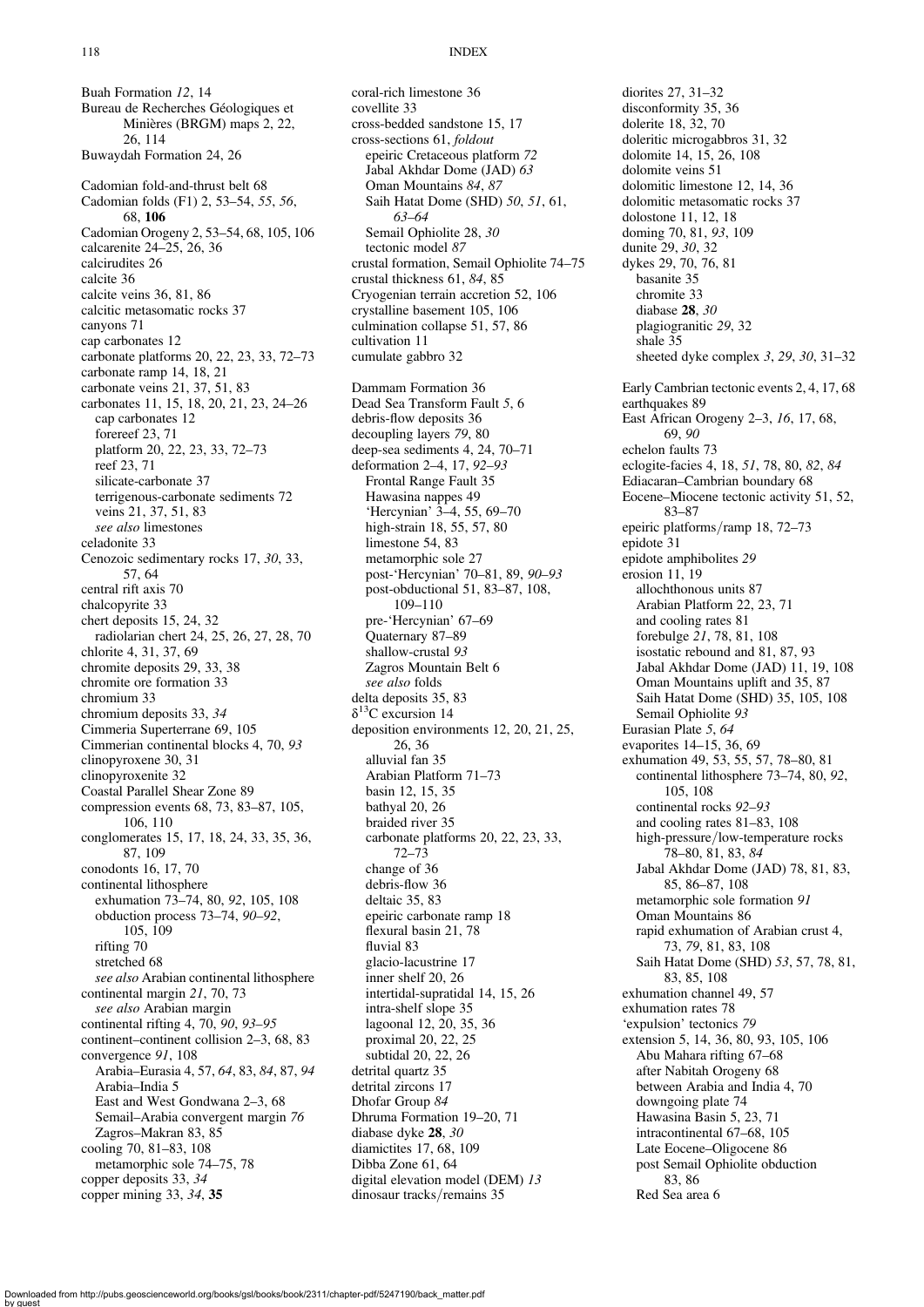Buah Formation 12, 14 Bureau de Recherches Géologiques et Minières (BRGM) maps 2, 22, 26, 114 Buwaydah Formation 24, 26 Cadomian fold-and-thrust belt 68 Cadomian folds (F1) 2, 53–54, 55, 56, 68, 106 Cadomian Orogeny 2, 53–54, 68, 105, 106 calcarenite 24–25, 26, 36 calcirudites 26 calcite 36 calcite veins 36, 81, 86 calcitic metasomatic rocks 37 canyons 71 cap carbonates 12 carbonate platforms 20, 22, 23, 33, 72–73 carbonate ramp 14, 18, 21 carbonate veins 21, 37, 51, 83 carbonates 11, 15, 18, 20, 21, 23, 24–26 cap carbonates 12 forereef 23, 71 platform 20, 22, 23, 33, 72–73 reef 23, 71 silicate-carbonate 37 terrigenous-carbonate sediments 72 veins 21, 37, 51, 83 see also limestones celadonite 33 Cenozoic sedimentary rocks 17, 30, 33, 57, 64 central rift axis 70 chalcopyrite 33 chert deposits 15, 24, 32 radiolarian chert 24, 25, 26, 27, 28, 70 chlorite 4, 31, 37, 69 chromite deposits 29, 33, 38 chromite ore formation 33 chromium 33 chromium deposits 33, 34 Cimmeria Superterrane 69, 105 Cimmerian continental blocks 4, 70, 93 clinopyroxene 30, 31 clinopyroxenite 32 Coastal Parallel Shear Zone 89 compression events 68, 73, 83–87, 105, 106, 110 conglomerates 15, 17, 18, 24, 33, 35, 36, 87, 109 conodonts 16, 17, 70 continental lithosphere exhumation 73–74, 80, 92, 105, 108 obduction process 73–74, 90–92, 105, 109 rifting 70 stretched 68 see also Arabian continental lithosphere continental margin 21, 70, 73 see also Arabian margin continental rifting 4, 70, 90, 93–95 continent–continent collision 2–3, 68, 83 convergence 91, 108 Arabia–Eurasia 4, 57, 64, 83, 84, 87, 94 Arabia–India 5 East and West Gondwana 2–3, 68 Semail–Arabia convergent margin 76 Zagros–Makran 83, 85 cooling 70, 81–83, 108 metamorphic sole 74–75, 78 copper deposits 33, 34 copper mining 33, 34, 35

#### 118 INDEX

coral-rich limestone 36

covellite 33 cross-bedded sandstone 15, 17 cross-sections 61, foldout epeiric Cretaceous platform 72 Jabal Akhdar Dome (JAD) 63 Oman Mountains 84, 87 Saih Hatat Dome (SHD) 50, 51, 61, 63–64 Semail Ophiolite 28, 30 tectonic model 87 crustal formation, Semail Ophiolite 74–75 crustal thickness 61, 84, 85 Cryogenian terrain accretion 52, 106 crystalline basement 105, 106 culmination collapse 51, 57, 86 cultivation 11 cumulate gabbro 32 Dammam Formation 36 Dead Sea Transform Fault 5, 6 debris-flow deposits 36 decoupling layers 79, 80 deep-sea sediments 4, 24, 70–71 deformation 2–4, 17, 92–93 Frontal Range Fault 35 Hawasina nappes 49 'Hercynian' 3–4, 55, 69–70 high-strain 18, 55, 57, 80 limestone 54, 83 metamorphic sole 27 post-'Hercynian' 70–81, 89, 90–93 post-obductional 51, 83–87, 108, 109–110 pre-'Hercynian' 67–69 Quaternary 87–89 shallow-crustal 93 Zagros Mountain Belt 6 see also folds delta deposits 35, 83 δ13C excursion 14 deposition environments 12, 20, 21, 25, 26, 36 alluvial fan 35 Arabian Platform 71–73 basin 12, 15, 35 bathyal 20, 26 braided river 35 carbonate platforms 20, 22, 23, 33, 72–73 change of 36 debris-flow 36 deltaic 35, 83 epeiric carbonate ramp 18 flexural basin 21, 78 fluvial 83 glacio-lacustrine 17 inner shelf 20, 26 intertidal-supratidal 14, 15, 26 intra-shelf slope 35 lagoonal 12, 20, 35, 36 proximal 20, 22, 25 subtidal 20, 22, 26 detrital quartz 35 detrital zircons 17 Dhofar Group 84 Dhruma Formation 19–20, 71 diabase dyke 28, 30 diamictites 17, 68, 109 Dibba Zone 61, 64 digital elevation model (DEM) 13 dinosaur tracks/remains 35

diorites 27, 31–32 disconformity 35, 36 dolerite 18, 32, 70 doleritic microgabbros 31, 32 dolomite 14, 15, 26, 108 dolomite veins 51 dolomitic limestone 12, 14, 36 dolomitic metasomatic rocks 37 dolostone 11, 12, 18 doming 70, 81, 93, 109 dunite 29, 30, 32 dykes 29, 70, 76, 81 basanite 35 chromite 33 diabase 28, 30 plagiogranitic 29, 32 shale 35 sheeted dyke complex 3, 29, 30, 31–32 Early Cambrian tectonic events 2, 4, 17, 68 earthquakes 89 East African Orogeny 2–3, 16, 17, 68, 69, 90 echelon faults 73 eclogite-facies 4, 18, 51, 78, 80, 82, 84 Ediacaran–Cambrian boundary 68 Eocene–Miocene tectonic activity 51, 52, 83–87 epeiric platforms/ramp 18, 72–73 epidote 31 epidote amphibolites 29 erosion 11, 19 allochthonous units 87 Arabian Platform 22, 23, 71 and cooling rates 81 forebulge 21, 78, 81, 108 isostatic rebound and 81, 87, 93 Jabal Akhdar Dome (JAD) 11, 19, 108 Oman Mountains uplift and 35, 87 Saih Hatat Dome (SHD) 35, 105, 108 Semail Ophiolite 93 Eurasian Plate 5, 64 evaporites 14–15, 36, 69 exhumation 49, 53, 55, 57, 78–80, 81 continental lithosphere 73–74, 80, 92, 105, 108 continental rocks 92–93 and cooling rates 81–83, 108 high-pressure/low-temperature rocks 78–80, 81, 83, 84 Jabal Akhdar Dome (JAD) 78, 81, 83, 85, 86–87, 108 metamorphic sole formation 91 Oman Mountains 86 rapid exhumation of Arabian crust 4, 73, 79, 81, 83, 108 Saih Hatat Dome (SHD) 53, 57, 78, 81, 83, 85, 108 exhumation channel 49, 57 exhumation rates 78 'expulsion' tectonics 79 extension 5, 14, 36, 80, 93, 105, 106 Abu Mahara rifting 67–68 after Nabitah Orogeny 68 between Arabia and India 4, 70 downgoing plate 74 Hawasina Basin 5, 23, 71 intracontinental 67–68, 105 Late Eocene–Oligocene 86 post Semail Ophiolite obduction 83, 86 Red Sea area 6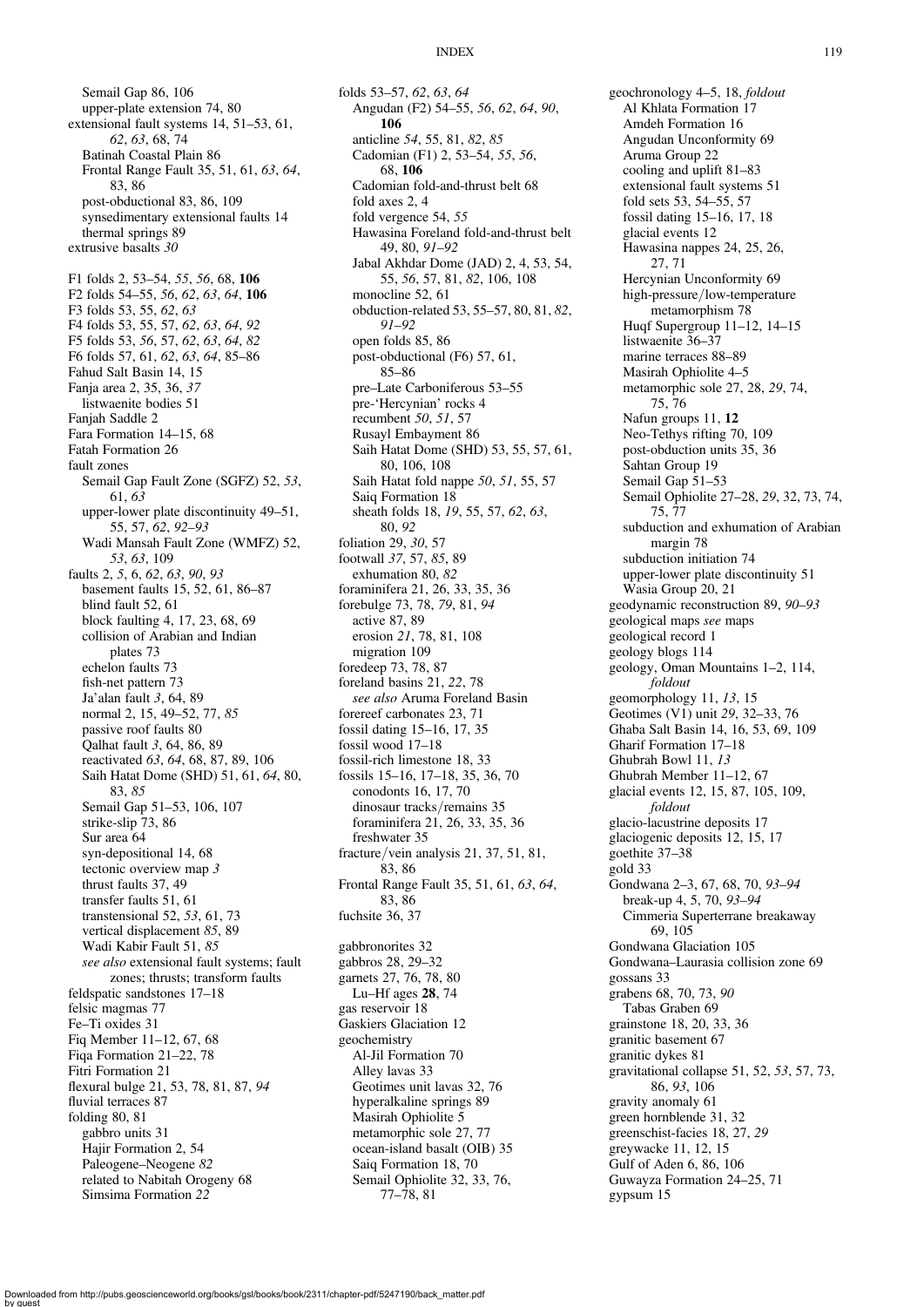Semail Gap 86, 106 upper-plate extension 74, 80 extensional fault systems 14, 51–53, 61, 62, 63, 68, 74 Batinah Coastal Plain 86 Frontal Range Fault 35, 51, 61, 63, 64, 83, 86 post-obductional 83, 86, 109 synsedimentary extensional faults 14 thermal springs 89 extrusive basalts 30 F1 folds 2, 53–54, 55, 56, 68, 106 F2 folds 54–55, 56, 62, 63, 64, 106 F3 folds 53, 55, 62, 63 F4 folds 53, 55, 57, 62, 63, 64, 92 F5 folds 53, 56, 57, 62, 63, 64, 82 F6 folds 57, 61, 62, 63, 64, 85–86 Fahud Salt Basin 14, 15 Fanja area 2, 35, 36, 37 listwaenite bodies 51 Fanjah Saddle 2 Fara Formation 14–15, 68 Fatah Formation 26 fault zones Semail Gap Fault Zone (SGFZ) 52, 53, 61, 63 upper-lower plate discontinuity 49–51, 55, 57, 62, 92–93 Wadi Mansah Fault Zone (WMFZ) 52, 53, 63, 109 faults 2, 5, 6, 62, 63, 90, 93 basement faults 15, 52, 61, 86–87 blind fault 52, 61 block faulting 4, 17, 23, 68, 69 collision of Arabian and Indian plates 73 echelon faults 73 fish-net pattern 73 Ja'alan fault 3, 64, 89 normal 2, 15, 49–52, 77, 85 passive roof faults 80 Qalhat fault 3, 64, 86, 89 reactivated 63, 64, 68, 87, 89, 106 Saih Hatat Dome (SHD) 51, 61, 64, 80, 83, 85 Semail Gap 51–53, 106, 107 strike-slip 73, 86 Sur area 64 syn-depositional 14, 68 tectonic overview map 3 thrust faults 37, 49 transfer faults 51, 61 transtensional 52, 53, 61, 73 vertical displacement 85, 89 Wadi Kabir Fault 51, 85 see also extensional fault systems; fault zones; thrusts; transform faults feldspatic sandstones 17–18 felsic magmas 77 Fe–Ti oxides 31 Fiq Member 11–12, 67, 68 Fiqa Formation 21–22, 78 Fitri Formation 21 flexural bulge 21, 53, 78, 81, 87, 94 fluvial terraces 87 folding 80, 81 gabbro units 31 Hajir Formation 2, 54 Paleogene–Neogene 82 related to Nabitah Orogeny 68 Simsima Formation 22

folds 53–57, 62, 63, 64 Angudan (F2) 54–55, 56, 62, 64, 90, 106 anticline 54, 55, 81, 82, 85 Cadomian (F1) 2, 53–54, 55, 56, 68, 106 Cadomian fold-and-thrust belt 68 fold axes 2, 4 fold vergence 54, 55 Hawasina Foreland fold-and-thrust belt 49, 80, 91–92 Jabal Akhdar Dome (JAD) 2, 4, 53, 54, 55, 56, 57, 81, 82, 106, 108 monocline 52, 61 obduction-related 53, 55–57, 80, 81, 82, 91–92 open folds 85, 86 post-obductional (F6) 57, 61, 85–86 pre–Late Carboniferous 53–55 pre-'Hercynian' rocks 4 recumbent 50, 51, 57 Rusayl Embayment 86 Saih Hatat Dome (SHD) 53, 55, 57, 61, 80, 106, 108 Saih Hatat fold nappe 50, 51, 55, 57 Saiq Formation 18 sheath folds 18, 19, 55, 57, 62, 63, 80, 92 foliation 29, 30, 57 footwall 37, 57, 85, 89 exhumation 80, 82 foraminifera 21, 26, 33, 35, 36 forebulge 73, 78, 79, 81, 94 active 87, 89 erosion 21, 78, 81, 108 migration 109 foredeep 73, 78, 87 foreland basins 21, 22, 78 see also Aruma Foreland Basin forereef carbonates 23, 71 fossil dating 15–16, 17, 35 fossil wood 17–18 fossil-rich limestone 18, 33 fossils 15–16, 17–18, 35, 36, 70 conodonts 16, 17, 70 dinosaur tracks/remains 35 foraminifera 21, 26, 33, 35, 36 freshwater 35 fracture/vein analysis 21, 37, 51, 81, 83, 86 Frontal Range Fault 35, 51, 61, 63, 64, 83, 86 fuchsite 36, 37 gabbronorites 32 gabbros 28, 29–32 garnets 27, 76, 78, 80 Lu–Hf ages 28, 74 gas reservoir 18 Gaskiers Glaciation 12 geochemistry Al-Jil Formation 70 Alley lavas 33 Geotimes unit lavas 32, 76 hyperalkaline springs 89 Masirah Ophiolite 5 metamorphic sole 27, 77 ocean-island basalt (OIB) 35 Saiq Formation 18, 70 Semail Ophiolite 32, 33, 76, 77–78, 81

geochronology 4–5, 18, foldout Al Khlata Formation 17 Amdeh Formation 16 Angudan Unconformity 69 Aruma Group 22 cooling and uplift 81–83 extensional fault systems 51 fold sets 53, 54–55, 57 fossil dating 15–16, 17, 18 glacial events 12 Hawasina nappes 24, 25, 26, 27, 71 Hercynian Unconformity 69 high-pressure/low-temperature metamorphism 78 Huqf Supergroup 11–12, 14–15 listwaenite 36–37 marine terraces 88–89 Masirah Ophiolite 4–5 metamorphic sole 27, 28, 29, 74, 75, 76 Nafun groups 11, 12 Neo-Tethys rifting 70, 109 post-obduction units 35, 36 Sahtan Group 19 Semail Gap 51–53 Semail Ophiolite 27–28, 29, 32, 73, 74, 75, 77 subduction and exhumation of Arabian margin 78 subduction initiation 74 upper-lower plate discontinuity 51 Wasia Group 20, 21 geodynamic reconstruction 89, 90–93 geological maps see maps geological record 1 geology blogs 114 geology, Oman Mountains 1–2, 114, foldout geomorphology 11, 13, 15 Geotimes (V1) unit 29, 32–33, 76 Ghaba Salt Basin 14, 16, 53, 69, 109 Gharif Formation 17–18 Ghubrah Bowl 11, 13 Ghubrah Member 11–12, 67 glacial events 12, 15, 87, 105, 109, foldout glacio-lacustrine deposits 17 glaciogenic deposits 12, 15, 17 goethite 37–38 gold 33 Gondwana 2–3, 67, 68, 70, 93–94 break-up 4, 5, 70, 93–94 Cimmeria Superterrane breakaway 69, 105 Gondwana Glaciation 105 Gondwana–Laurasia collision zone 69 gossans 33 grabens 68, 70, 73, 90 Tabas Graben 69 grainstone 18, 20, 33, 36 granitic basement 67 granitic dykes 81 gravitational collapse 51, 52, 53, 57, 73, 86, 93, 106 gravity anomaly 61 green hornblende 31, 32 greenschist-facies 18, 27, 29 greywacke 11, 12, 15 Gulf of Aden 6, 86, 106 Guwayza Formation 24–25, 71 gypsum 15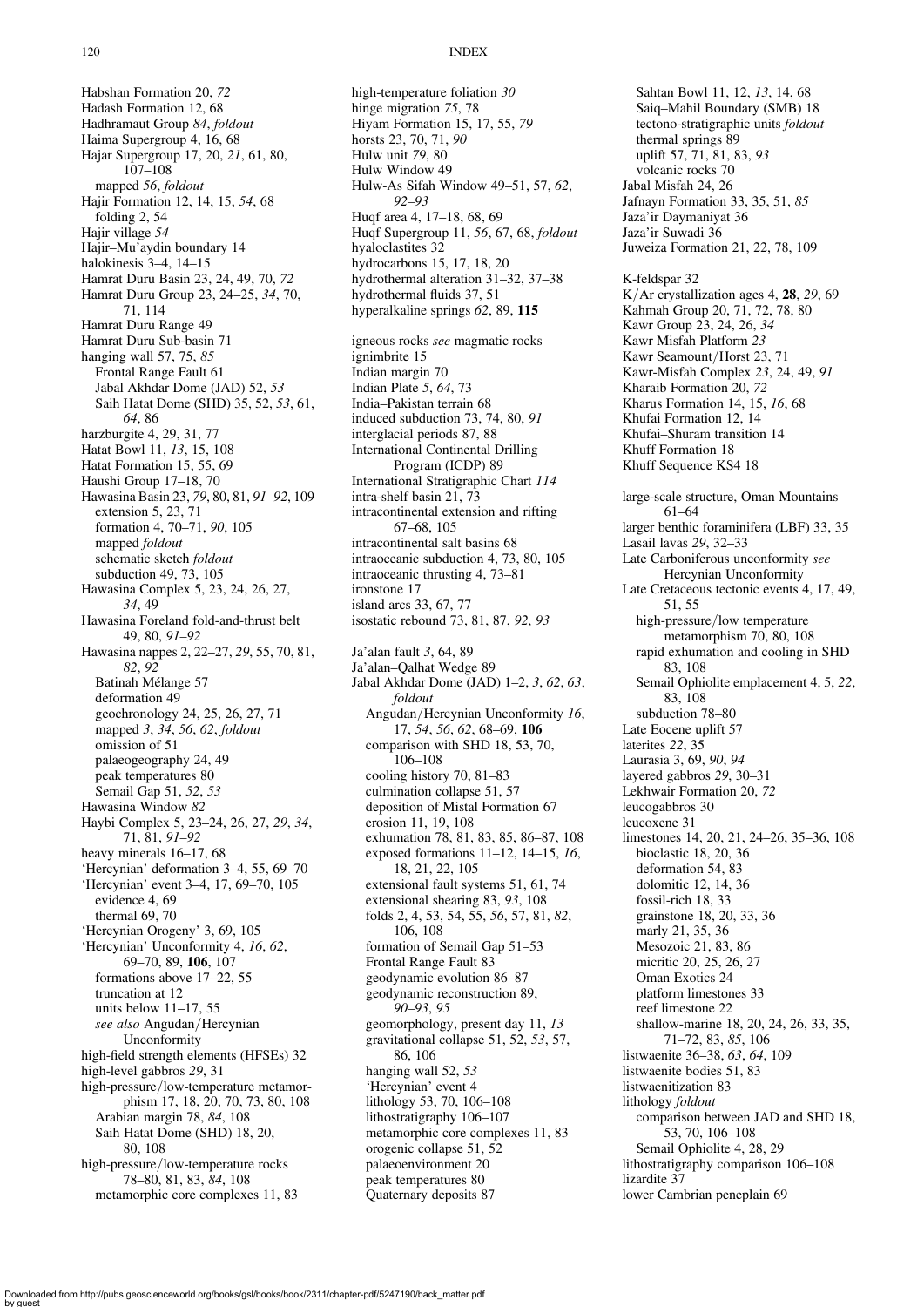Habshan Formation 20, 72 Hadash Formation 12, 68 Hadhramaut Group 84, foldout Haima Supergroup 4, 16, 68 Hajar Supergroup 17, 20, 21, 61, 80, 107–108 mapped 56, foldout Hajir Formation 12, 14, 15, 54, 68 folding 2, 54 Hajir village 54 Hajir–Mu'aydin boundary 14 halokinesis 3–4, 14–15 Hamrat Duru Basin 23, 24, 49, 70, 72 Hamrat Duru Group 23, 24–25, 34, 70, 71, 114 Hamrat Duru Range 49 Hamrat Duru Sub-basin 71 hanging wall 57, 75, 85 Frontal Range Fault 61 Jabal Akhdar Dome (JAD) 52, 53 Saih Hatat Dome (SHD) 35, 52, 53, 61, 64, 86 harzburgite 4, 29, 31, 77 Hatat Bowl 11, 13, 15, 108 Hatat Formation 15, 55, 69 Haushi Group 17–18, 70 Hawasina Basin 23, 79, 80, 81, 91–92, 109 extension 5, 23, 71 formation 4, 70–71, 90, 105 mapped foldout schematic sketch foldout subduction 49, 73, 105 Hawasina Complex 5, 23, 24, 26, 27, 34, 49 Hawasina Foreland fold-and-thrust belt 49, 80, 91–92 Hawasina nappes 2, 22–27, 29, 55, 70, 81, 82, 92 Batinah Mélange 57 deformation 49 geochronology 24, 25, 26, 27, 71 mapped 3, 34, 56, 62, foldout omission of 51 palaeogeography 24, 49 peak temperatures 80 Semail Gap 51, 52, 53 Hawasina Window 82 Haybi Complex 5, 23–24, 26, 27, 29, 34, 71, 81, 91–92 heavy minerals 16–17, 68 'Hercynian' deformation 3–4, 55, 69–70 'Hercynian' event 3–4, 17, 69–70, 105 evidence 4, 69 thermal 69, 70 'Hercynian Orogeny' 3, 69, 105 'Hercynian' Unconformity 4, 16, 62, 69–70, 89, 106, 107 formations above 17–22, 55 truncation at 12 units below 11–17, 55 see also Angudan/Hercynian Unconformity high-field strength elements (HFSEs) 32 high-level gabbros 29, 31 high-pressure/low-temperature metamorphism 17, 18, 20, 70, 73, 80, 108 Arabian margin 78, 84, 108 Saih Hatat Dome (SHD) 18, 20, 80, 108 high-pressure/low-temperature rocks 78–80, 81, 83, 84, 108 metamorphic core complexes 11, 83

### 120 INDEX

high-temperature foliation 30 hinge migration 75, 78 Hiyam Formation 15, 17, 55, 79 horsts 23, 70, 71, 90 Hulw unit 79, 80 Hulw Window 49 Hulw-As Sifah Window 49–51, 57, 62, 92–93 Huqf area 4, 17–18, 68, 69 Huqf Supergroup 11, 56, 67, 68, foldout hyaloclastites 32 hydrocarbons 15, 17, 18, 20 hydrothermal alteration 31–32, 37–38 hydrothermal fluids 37, 51 hyperalkaline springs 62, 89, 115 igneous rocks see magmatic rocks ignimbrite 15 Indian margin 70 Indian Plate 5, 64, 73 India–Pakistan terrain 68 induced subduction 73, 74, 80, 91 interglacial periods 87, 88 International Continental Drilling Program (ICDP) 89 International Stratigraphic Chart 114 intra-shelf basin 21, 73 intracontinental extension and rifting 67–68, 105 intracontinental salt basins 68 intraoceanic subduction 4, 73, 80, 105 intraoceanic thrusting 4, 73–81 ironstone 17 island arcs 33, 67, 77 isostatic rebound 73, 81, 87, 92, 93 Ja'alan fault 3, 64, 89 Ja'alan–Qalhat Wedge 89 Jabal Akhdar Dome (JAD) 1–2, 3, 62, 63, foldout Angudan/Hercynian Unconformity 16, 17, 54, 56, 62, 68–69, 106 comparison with SHD 18, 53, 70, 106–108 cooling history 70, 81–83 culmination collapse 51, 57 deposition of Mistal Formation 67 erosion 11, 19, 108 exhumation 78, 81, 83, 85, 86–87, 108 exposed formations 11–12, 14–15, 16, 18, 21, 22, 105 extensional fault systems 51, 61, 74 extensional shearing 83, 93, 108 folds 2, 4, 53, 54, 55, 56, 57, 81, 82, 106, 108 formation of Semail Gap 51–53 Frontal Range Fault 83 geodynamic evolution 86–87 geodynamic reconstruction 89, 90–93, 95 geomorphology, present day 11, 13 gravitational collapse 51, 52, 53, 57, 86, 106 hanging wall 52, 53 'Hercynian' event 4 lithology 53, 70, 106–108 lithostratigraphy 106–107 metamorphic core complexes 11, 83 orogenic collapse 51, 52 palaeoenvironment 20 peak temperatures 80 Quaternary deposits 87

Sahtan Bowl 11, 12, 13, 14, 68 Saiq–Mahil Boundary (SMB) 18 tectono-stratigraphic units foldout thermal springs 89 uplift 57, 71, 81, 83, 93 volcanic rocks 70 Jabal Misfah 24, 26 Jafnayn Formation 33, 35, 51, 85 Jaza'ir Daymaniyat 36 Jaza'ir Suwadi 36 Juweiza Formation 21, 22, 78, 109 K-feldspar 32 K/Ar crystallization ages 4, 28, 29, 69 Kahmah Group 20, 71, 72, 78, 80 Kawr Group 23, 24, 26, 34 Kawr Misfah Platform 23 Kawr Seamount/Horst 23, 71 Kawr-Misfah Complex 23, 24, 49, 91 Kharaib Formation 20, 72 Kharus Formation 14, 15, 16, 68 Khufai Formation 12, 14 Khufai–Shuram transition 14 Khuff Formation 18 Khuff Sequence KS4 18 large-scale structure, Oman Mountains 61–64 larger benthic foraminifera (LBF) 33, 35 Lasail lavas 29, 32–33 Late Carboniferous unconformity see Hercynian Unconformity Late Cretaceous tectonic events 4, 17, 49, 51, 55 high-pressure/low temperature metamorphism 70, 80, 108 rapid exhumation and cooling in SHD 83, 108 Semail Ophiolite emplacement 4, 5, 22, 83, 108 subduction 78–80 Late Eocene uplift 57 laterites 22, 35 Laurasia 3, 69, 90, 94 layered gabbros 29, 30–31 Lekhwair Formation 20, 72 leucogabbros 30 leucoxene 31 limestones 14, 20, 21, 24–26, 35–36, 108 bioclastic 18, 20, 36 deformation 54, 83 dolomitic 12, 14, 36 fossil-rich 18, 33 grainstone 18, 20, 33, 36 marly 21, 35, 36 Mesozoic 21, 83, 86 micritic 20, 25, 26, 27 Oman Exotics 24 platform limestones 33 reef limestone 22 shallow-marine 18, 20, 24, 26, 33, 35, 71–72, 83, 85, 106 listwaenite 36–38, 63, 64, 109 listwaenite bodies 51, 83 listwaenitization 83 lithology foldout comparison between JAD and SHD 18, 53, 70, 106–108 Semail Ophiolite 4, 28, 29 lithostratigraphy comparison 106–108 lizardite 37 lower Cambrian peneplain 69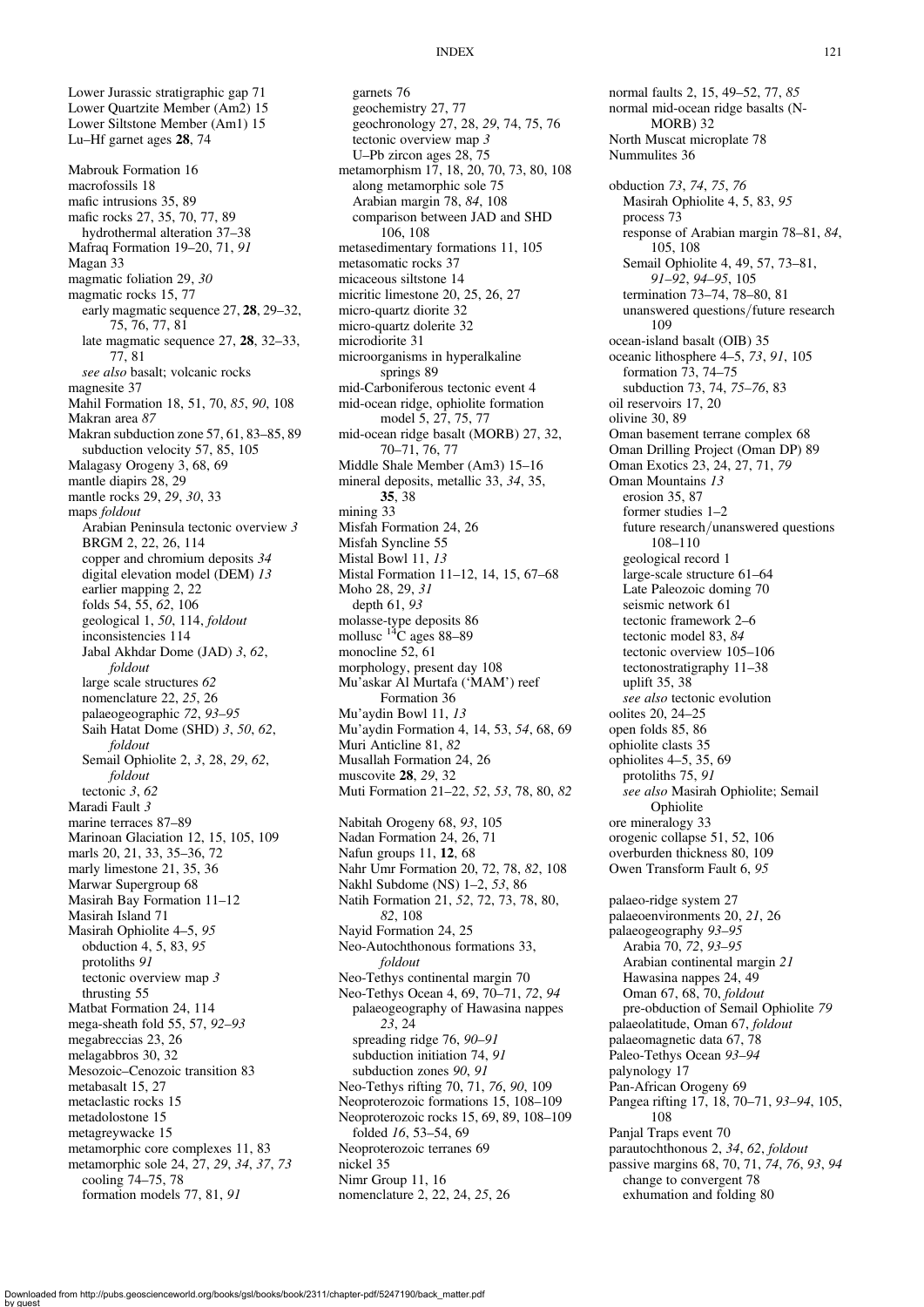# INDEX 121

normal faults 2, 15, 49–52, 77, 85

Lower Jurassic stratigraphic gap 71 Lower Quartzite Member (Am2) 15 Lower Siltstone Member (Am1) 15 Lu–Hf garnet ages 28, 74 Mabrouk Formation 16 macrofossils 18 mafic intrusions 35, 89 mafic rocks 27, 35, 70, 77, 89 hydrothermal alteration 37–38 Mafraq Formation 19–20, 71, 91 Magan 33 magmatic foliation 29, 30 magmatic rocks 15, 77 early magmatic sequence 27, 28, 29–32, 75, 76, 77, 81 late magmatic sequence 27, 28, 32–33, 77, 81 see also basalt; volcanic rocks magnesite 37 Mahil Formation 18, 51, 70, 85, 90, 108 Makran area 87 Makran subduction zone 57, 61, 83–85, 89 subduction velocity 57, 85, 105 Malagasy Orogeny 3, 68, 69 mantle diapirs 28, 29 mantle rocks 29, 29, 30, 33 maps foldout Arabian Peninsula tectonic overview 3 BRGM 2, 22, 26, 114 copper and chromium deposits 34 digital elevation model (DEM) 13 earlier mapping 2, 22 folds 54, 55, 62, 106 geological 1, 50, 114, foldout inconsistencies 114 Jabal Akhdar Dome (JAD) 3, 62, foldout large scale structures 62 nomenclature 22, 25, 26 palaeogeographic 72, 93–95 Saih Hatat Dome (SHD) 3, 50, 62, foldout Semail Ophiolite 2, 3, 28, 29, 62, foldout tectonic 3, 62 Maradi Fault 3 marine terraces 87–89 Marinoan Glaciation 12, 15, 105, 109 marls 20, 21, 33, 35–36, 72 marly limestone 21, 35, 36 Marwar Supergroup 68 Masirah Bay Formation 11–12 Masirah Island 71 Masirah Ophiolite 4–5, 95 obduction 4, 5, 83, 95 protoliths 91 tectonic overview map 3 thrusting 55 Matbat Formation 24, 114 mega-sheath fold 55, 57, 92–93 megabreccias 23, 26 melagabbros 30, 32 Mesozoic–Cenozoic transition 83 metabasalt 15, 27 metaclastic rocks 15 metadolostone 15 metagreywacke 15 metamorphic core complexes 11, 83 metamorphic sole 24, 27, 29, 34, 37, 73 cooling 74–75, 78 formation models 77, 81, 91

garnets 76 geochemistry 27, 77 geochronology 27, 28, 29, 74, 75, 76 tectonic overview map 3 U–Pb zircon ages 28, 75 metamorphism 17, 18, 20, 70, 73, 80, 108 along metamorphic sole 75 Arabian margin 78, 84, 108 comparison between JAD and SHD 106, 108 metasedimentary formations 11, 105 metasomatic rocks 37 micaceous siltstone 14 micritic limestone 20, 25, 26, 27 micro-quartz diorite 32 micro-quartz dolerite 32 microdiorite 31 microorganisms in hyperalkaline springs 89 mid-Carboniferous tectonic event 4 mid-ocean ridge, ophiolite formation model 5, 27, 75, 77 mid-ocean ridge basalt (MORB) 27, 32, 70–71, 76, 77 Middle Shale Member (Am3) 15–16 mineral deposits, metallic 33, 34, 35, 35, 38 mining 33 Misfah Formation 24, 26 Misfah Syncline 55 Mistal Bowl 11, 13 Mistal Formation 11–12, 14, 15, 67–68 Moho 28, 29, 31 depth 61, 93 molasse-type deposits 86<br>mollusc <sup>14</sup>C ages 88–89 monocline 52, 61 morphology, present day 108 Mu'askar Al Murtafa ('MAM') reef Formation 36 Mu'aydin Bowl 11, 13 Mu'aydin Formation 4, 14, 53, 54, 68, 69 Muri Anticline 81, 82 Musallah Formation 24, 26 muscovite 28, 29, 32 Muti Formation 21–22, 52, 53, 78, 80, 82 Nabitah Orogeny 68, 93, 105 Nadan Formation 24, 26, 71 Nafun groups 11, 12, 68 Nahr Umr Formation 20, 72, 78, 82, 108 Nakhl Subdome (NS) 1–2, 53, 86 Natih Formation 21, 52, 72, 73, 78, 80, 82, 108 Nayid Formation 24, 25 Neo-Autochthonous formations 33, foldout Neo-Tethys continental margin 70 Neo-Tethys Ocean 4, 69, 70-71, 72, 94 palaeogeography of Hawasina nappes 23, 24 spreading ridge 76, 90–91 subduction initiation 74, 91 subduction zones 90, 91 Neo-Tethys rifting 70, 71, 76, 90, 109 Neoproterozoic formations 15, 108–109 Neoproterozoic rocks 15, 69, 89, 108–109 folded 16, 53–54, 69 Neoproterozoic terranes 69 nickel 35 Nimr Group 11, 16 nomenclature 2, 22, 24, 25, 26

normal mid-ocean ridge basalts (N-MORB) 32 North Muscat microplate 78 Nummulites 36 obduction 73, 74, 75, 76 Masirah Ophiolite 4, 5, 83, 95 process 73 response of Arabian margin 78–81, 84, 105, 108 Semail Ophiolite 4, 49, 57, 73–81, 91–92, 94–95, 105 termination 73–74, 78–80, 81 unanswered questions/future research 109 ocean-island basalt (OIB) 35 oceanic lithosphere 4–5, 73, 91, 105 formation 73, 74–75 subduction 73, 74, 75–76, 83 oil reservoirs 17, 20 olivine 30, 89 Oman basement terrane complex 68 Oman Drilling Project (Oman DP) 89 Oman Exotics 23, 24, 27, 71, 79 Oman Mountains 13 erosion 35, 87 former studies 1–2 future research/unanswered questions 108–110 geological record 1 large-scale structure 61–64 Late Paleozoic doming 70 seismic network 61 tectonic framework 2–6 tectonic model 83, 84 tectonic overview 105–106 tectonostratigraphy 11–38 uplift 35, 38 see also tectonic evolution oolites 20, 24–25 open folds 85, 86 ophiolite clasts 35 ophiolites 4–5, 35, 69 protoliths 75, 91 see also Masirah Ophiolite; Semail Ophiolite ore mineralogy 33 orogenic collapse 51, 52, 106 overburden thickness 80, 109 Owen Transform Fault 6, 95 palaeo-ridge system 27 palaeoenvironments 20, 21, 26 palaeogeography 93–95 Arabia 70, 72, 93–95 Arabian continental margin 21 Hawasina nappes 24, 49 Oman 67, 68, 70, foldout pre-obduction of Semail Ophiolite 79 palaeolatitude, Oman 67, foldout palaeomagnetic data 67, 78 Paleo-Tethys Ocean 93–94 palynology 17 Pan-African Orogeny 69 Pangea rifting 17, 18, 70–71, 93–94, 105, 108 Panjal Traps event 70 parautochthonous 2, 34, 62, foldout passive margins 68, 70, 71, 74, 76, 93, 94 change to convergent 78 exhumation and folding 80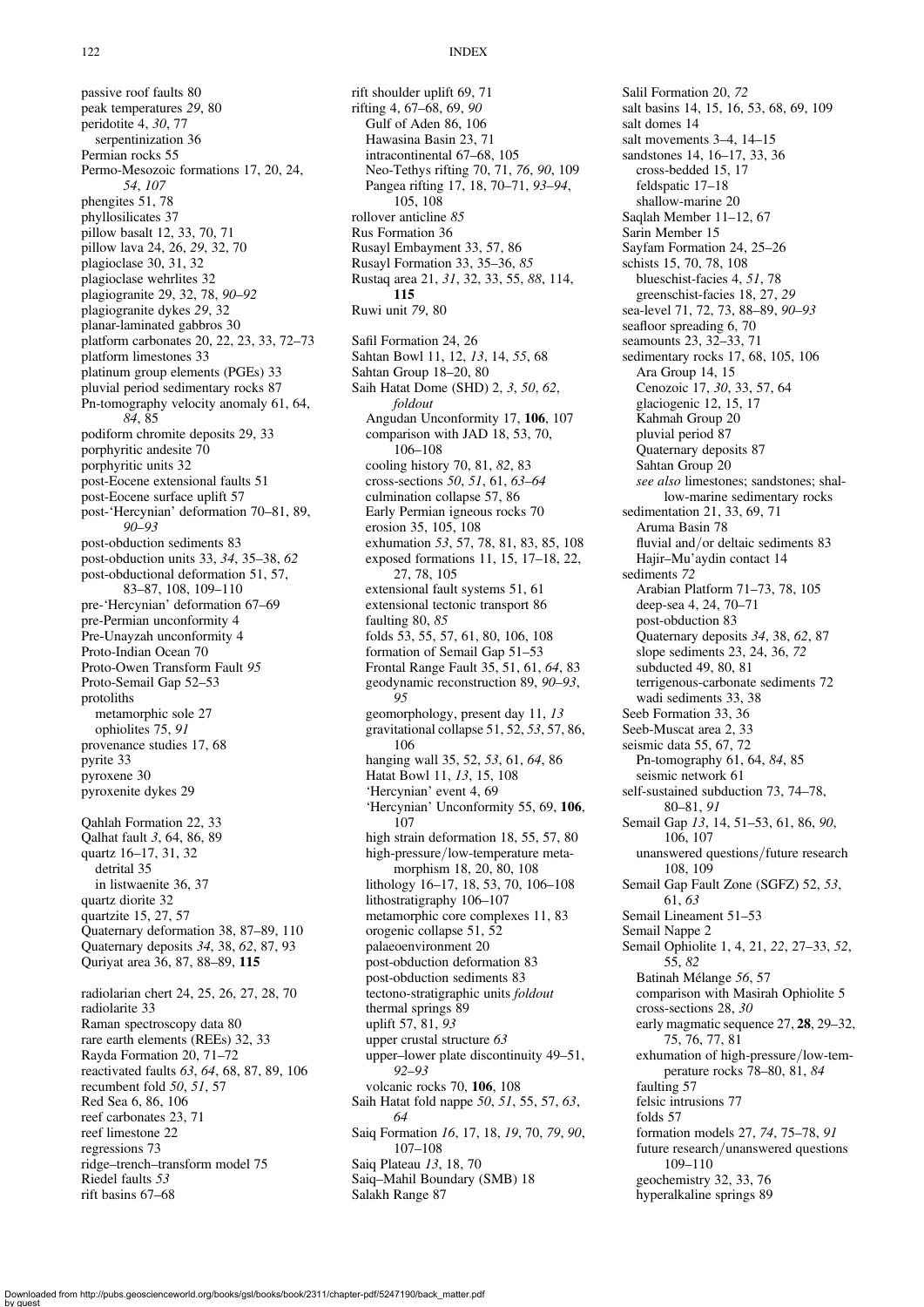passive roof faults 80 peak temperatures 29, 80 peridotite 4, 30, 77 serpentinization 36 Permian rocks 55 Permo-Mesozoic formations 17, 20, 24, 54, 107 phengites 51, 78 phyllosilicates 37 pillow basalt 12, 33, 70, 71 pillow lava 24, 26, 29, 32, 70 plagioclase 30, 31, 32 plagioclase wehrlites 32 plagiogranite 29, 32, 78, 90–92 plagiogranite dykes 29, 32 planar-laminated gabbros 30 platform carbonates 20, 22, 23, 33, 72–73 platform limestones 33 platinum group elements (PGEs) 33 pluvial period sedimentary rocks 87 Pn-tomography velocity anomaly 61, 64, 84, 85 podiform chromite deposits 29, 33 porphyritic andesite 70 porphyritic units 32 post-Eocene extensional faults 51 post-Eocene surface uplift 57 post-'Hercynian' deformation 70–81, 89,  $90 - 93$ post-obduction sediments 83 post-obduction units 33, 34, 35–38, 62 post-obductional deformation 51, 57, 83–87, 108, 109–110 pre-'Hercynian' deformation 67–69 pre-Permian unconformity 4 Pre-Unayzah unconformity 4 Proto-Indian Ocean 70 Proto-Owen Transform Fault 95 Proto-Semail Gap 52–53 protoliths metamorphic sole 27 ophiolites 75, 91 provenance studies 17, 68 pyrite 33 pyroxene 30 pyroxenite dykes 29 Qahlah Formation 22, 33 Qalhat fault 3, 64, 86, 89 quartz 16–17, 31, 32 detrital 35 in listwaenite 36, 37 quartz diorite 32 quartzite 15, 27, 57 Quaternary deformation 38, 87–89, 110 Quaternary deposits 34, 38, 62, 87, 93 Quriyat area 36, 87, 88–89, 115 radiolarian chert 24, 25, 26, 27, 28, 70 radiolarite 33 Raman spectroscopy data 80 rare earth elements (REEs) 32, 33 Rayda Formation 20, 71–72 reactivated faults 63, 64, 68, 87, 89, 106 recumbent fold 50, 51, 57 Red Sea 6, 86, 106 reef carbonates 23, 71 reef limestone 22 regressions 73 ridge–trench–transform model 75 Riedel faults 53 rift basins 67–68

# 122 INDEX

rift shoulder uplift 69, 71 rifting 4, 67–68, 69, 90 Gulf of Aden 86, 106

Hawasina Basin 23, 71 intracontinental 67–68, 105 Neo-Tethys rifting 70, 71, 76, 90, 109 Pangea rifting 17, 18, 70–71, 93–94, 105, 108 rollover anticline 85 Rus Formation 36 Rusayl Embayment 33, 57, 86 Rusayl Formation 33, 35–36, 85 Rustaq area 21, 31, 32, 33, 55, 88, 114, 115 Ruwi unit 79, 80 Safil Formation 24, 26 Sahtan Bowl 11, 12, 13, 14, 55, 68 Sahtan Group 18–20, 80 Saih Hatat Dome (SHD) 2, 3, 50, 62, foldout Angudan Unconformity 17, 106, 107 comparison with JAD 18, 53, 70, 106–108 cooling history 70, 81, 82, 83 cross-sections 50, 51, 61, 63–64 culmination collapse 57, 86 Early Permian igneous rocks 70 erosion 35, 105, 108 exhumation 53, 57, 78, 81, 83, 85, 108 exposed formations 11, 15, 17–18, 22, 27, 78, 105 extensional fault systems 51, 61 extensional tectonic transport 86 faulting 80, 85 folds 53, 55, 57, 61, 80, 106, 108 formation of Semail Gap 51–53 Frontal Range Fault 35, 51, 61, 64, 83 geodynamic reconstruction 89, 90–93, 95 geomorphology, present day 11, 13 gravitational collapse 51, 52, 53, 57, 86, 106 hanging wall 35, 52, 53, 61, 64, 86 Hatat Bowl 11, 13, 15, 108 'Hercynian' event 4, 69 'Hercynian' Unconformity 55, 69, 106, 107 high strain deformation 18, 55, 57, 80 high-pressure/low-temperature metamorphism 18, 20, 80, 108 lithology 16–17, 18, 53, 70, 106–108 lithostratigraphy 106–107 metamorphic core complexes 11, 83 orogenic collapse 51, 52 palaeoenvironment 20 post-obduction deformation 83 post-obduction sediments 83 tectono-stratigraphic units foldout thermal springs 89 uplift 57, 81, 93 upper crustal structure 63 upper–lower plate discontinuity 49–51, 92–93 volcanic rocks 70, 106, 108 Saih Hatat fold nappe 50, 51, 55, 57, 63, 64 Saiq Formation 16, 17, 18, 19, 70, 79, 90, 107–108 Saiq Plateau 13, 18, 70 Saiq–Mahil Boundary (SMB) 18 Salakh Range 87

Salil Formation 20, 72 salt basins 14, 15, 16, 53, 68, 69, 109 salt domes 14 salt movements 3–4, 14–15 sandstones 14, 16–17, 33, 36 cross-bedded 15, 17 feldspatic 17–18 shallow-marine 20 Saqlah Member 11–12, 67 Sarin Member 15 Sayfam Formation 24, 25–26 schists 15, 70, 78, 108 blueschist-facies 4, 51, 78 greenschist-facies 18, 27, 29 sea-level 71, 72, 73, 88–89, 90–93 seafloor spreading 6, 70 seamounts 23, 32–33, 71 sedimentary rocks 17, 68, 105, 106 Ara Group 14, 15 Cenozoic 17, 30, 33, 57, 64 glaciogenic 12, 15, 17 Kahmah Group 20 pluvial period 87 Quaternary deposits 87 Sahtan Group 20 see also limestones; sandstones; shallow-marine sedimentary rocks sedimentation 21, 33, 69, 71 Aruma Basin 78 fluvial and/or deltaic sediments 83 Hajir–Mu'aydin contact 14 sediments 72 Arabian Platform 71–73, 78, 105 deep-sea 4, 24, 70–71 post-obduction 83 Quaternary deposits 34, 38, 62, 87 slope sediments 23, 24, 36, 72 subducted 49, 80, 81 terrigenous-carbonate sediments 72 wadi sediments 33, 38 Seeb Formation 33, 36 Seeb-Muscat area 2, 33 seismic data 55, 67, 72 Pn-tomography 61, 64, 84, 85 seismic network 61 self-sustained subduction 73, 74–78, 80–81, 91 Semail Gap 13, 14, 51–53, 61, 86, 90, 106, 107 unanswered questions/future research 108, 109 Semail Gap Fault Zone (SGFZ) 52, 53, 61, 63 Semail Lineament 51–53 Semail Nappe 2 Semail Ophiolite 1, 4, 21, 22, 27–33, 52, 55, 82 Batinah Mélange 56, 57 comparison with Masirah Ophiolite 5 cross-sections 28, 30 early magmatic sequence 27, 28, 29–32, 75, 76, 77, 81 exhumation of high-pressure/low-temperature rocks 78–80, 81, 84 faulting 57 felsic intrusions 77 folds 57 formation models 27, 74, 75–78, 91 future research/unanswered questions 109–110 geochemistry 32, 33, 76 hyperalkaline springs 89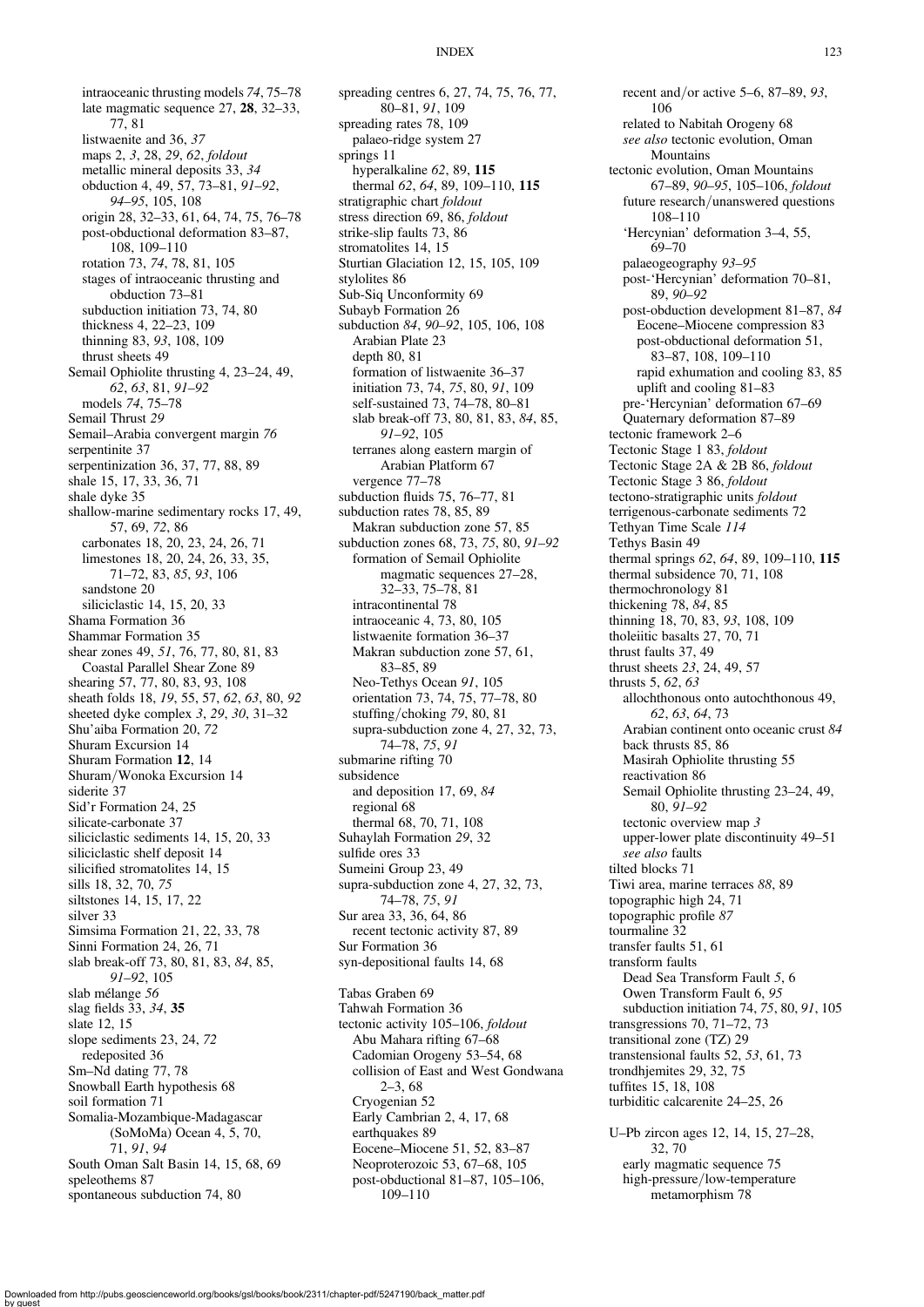# INDEX 123

intraoceanic thrusting models 74, 75–78 late magmatic sequence 27, 28, 32–33, 77, 81 listwaenite and 36, 37 maps 2, 3, 28, 29, 62, foldout metallic mineral deposits 33, 34 obduction 4, 49, 57, 73–81, 91–92, 94–95, 105, 108 origin 28, 32–33, 61, 64, 74, 75, 76–78 post-obductional deformation 83–87, 108, 109–110 rotation 73, 74, 78, 81, 105 stages of intraoceanic thrusting and obduction 73–81 subduction initiation 73, 74, 80 thickness 4, 22–23, 109 thinning 83, 93, 108, 109 thrust sheets 49 Semail Ophiolite thrusting 4, 23–24, 49, 62, 63, 81, 91–92 models 74, 75–78 Semail Thrust 29 Semail–Arabia convergent margin 76 serpentinite 37 serpentinization 36, 37, 77, 88, 89 shale 15, 17, 33, 36, 71 shale dyke 35 shallow-marine sedimentary rocks 17, 49, 57, 69, 72, 86 carbonates 18, 20, 23, 24, 26, 71 limestones 18, 20, 24, 26, 33, 35, 71–72, 83, 85, 93, 106 sandstone 20 siliciclastic 14, 15, 20, 33 Shama Formation 36 Shammar Formation 35 shear zones 49, 51, 76, 77, 80, 81, 83 Coastal Parallel Shear Zone 89 shearing 57, 77, 80, 83, 93, 108 sheath folds 18, 19, 55, 57, 62, 63, 80, 92 sheeted dyke complex 3, 29, 30, 31–32 Shu'aiba Formation 20, 72 Shuram Excursion 14 Shuram Formation 12, 14 Shuram/Wonoka Excursion 14 siderite 37 Sid'r Formation 24, 25 silicate-carbonate 37 siliciclastic sediments 14, 15, 20, 33 siliciclastic shelf deposit 14 silicified stromatolites 14, 15 sills 18, 32, 70, 75 siltstones 14, 15, 17, 22 silver 33 Simsima Formation 21, 22, 33, 78 Sinni Formation 24, 26, 71 slab break-off 73, 80, 81, 83, 84, 85, 91–92, 105 slab mélange 56 slag fields 33, 34, 35 slate 12, 15 slope sediments 23, 24, 72 redeposited 36 Sm–Nd dating 77, 78 Snowball Earth hypothesis 68 soil formation 71 Somalia-Mozambique-Madagascar (SoMoMa) Ocean 4, 5, 70, 71, 91, 94 South Oman Salt Basin 14, 15, 68, 69 speleothems 87 spontaneous subduction 74, 80

spreading centres 6, 27, 74, 75, 76, 77, 80–81, 91, 109 spreading rates 78, 109 palaeo-ridge system 27 springs 11 hyperalkaline 62, 89, 115 thermal 62, 64, 89, 109–110, 115 stratigraphic chart foldout stress direction 69, 86, foldout strike-slip faults 73, 86 stromatolites 14, 15 Sturtian Glaciation 12, 15, 105, 109 stylolites 86 Sub-Siq Unconformity 69 Subayb Formation 26 subduction 84, 90–92, 105, 106, 108 Arabian Plate 23 depth 80, 81 formation of listwaenite 36–37 initiation 73, 74, 75, 80, 91, 109 self-sustained 73, 74–78, 80–81 slab break-off 73, 80, 81, 83, 84, 85, 91–92, 105 terranes along eastern margin of Arabian Platform 67 vergence 77–78 subduction fluids 75, 76–77, 81 subduction rates 78, 85, 89 Makran subduction zone 57, 85 subduction zones 68, 73, 75, 80, 91–92 formation of Semail Ophiolite magmatic sequences 27–28, 32–33, 75–78, 81 intracontinental 78 intraoceanic 4, 73, 80, 105 listwaenite formation 36–37 Makran subduction zone 57, 61, 83–85, 89 Neo-Tethys Ocean 91, 105 orientation 73, 74, 75, 77–78, 80 stuffing/choking 79, 80, 81 supra-subduction zone 4, 27, 32, 73, 74–78, 75, 91 submarine rifting 70 subsidence and deposition 17, 69, 84 regional 68 thermal 68, 70, 71, 108 Suhaylah Formation 29, 32 sulfide ores 33 Sumeini Group 23, 49 supra-subduction zone 4, 27, 32, 73, 74–78, 75, 91 Sur area 33, 36, 64, 86 recent tectonic activity 87, 89 Sur Formation 36 syn-depositional faults 14, 68 Tabas Graben 69 Tahwah Formation 36 tectonic activity 105–106, foldout Abu Mahara rifting 67–68 Cadomian Orogeny 53–54, 68 collision of East and West Gondwana  $2-3.68$ Cryogenian 52 Early Cambrian 2, 4, 17, 68 earthquakes 89 Eocene–Miocene 51, 52, 83–87 Neoproterozoic 53, 67–68, 105 post-obductional 81–87, 105–106, 109–110

recent and/or active 5–6, 87–89, 93, 106 related to Nabitah Orogeny 68 see also tectonic evolution, Oman Mountains tectonic evolution, Oman Mountains 67–89, 90–95, 105–106, foldout future research/unanswered questions 108–110 'Hercynian' deformation 3–4, 55, 69–70 palaeogeography 93–95 post-'Hercynian' deformation 70–81, 89, 90–92 post-obduction development 81–87, 84 Eocene–Miocene compression 83 post-obductional deformation 51, 83–87, 108, 109–110 rapid exhumation and cooling 83, 85 uplift and cooling 81–83 pre-'Hercynian' deformation 67–69 Quaternary deformation 87–89 tectonic framework 2–6 Tectonic Stage 1 83, foldout Tectonic Stage 2A & 2B 86, foldout Tectonic Stage 3 86, foldout tectono-stratigraphic units foldout terrigenous-carbonate sediments 72 Tethyan Time Scale 114 Tethys Basin 49 thermal springs 62, 64, 89, 109–110, 115 thermal subsidence 70, 71, 108 thermochronology 81 thickening 78, 84, 85 thinning 18, 70, 83, 93, 108, 109 tholeiitic basalts 27, 70, 71 thrust faults 37, 49 thrust sheets 23, 24, 49, 57 thrusts 5, 62, 63 allochthonous onto autochthonous 49, 62, 63, 64, 73 Arabian continent onto oceanic crust 84 back thrusts 85, 86 Masirah Ophiolite thrusting 55 reactivation 86 Semail Ophiolite thrusting 23–24, 49,  $80, 91 - 92$ tectonic overview map 3 upper-lower plate discontinuity 49–51 see also faults tilted blocks 71 Tiwi area, marine terraces 88, 89 topographic high 24, 71 topographic profile 87 tourmaline 32 transfer faults 51, 61 transform faults Dead Sea Transform Fault 5, 6 Owen Transform Fault 6, 95 subduction initiation 74, 75, 80, 91, 105 transgressions 70, 71–72, 73 transitional zone (TZ) 29 transtensional faults 52, 53, 61, 73 trondhjemites 29, 32, 75 tuffites 15, 18, 108 turbiditic calcarenite 24–25, 26 U–Pb zircon ages 12, 14, 15, 27–28, 32, 70 early magmatic sequence 75 high-pressure/low-temperature

metamorphism 78

Downloaded from http://pubs.geoscienceworld.org/books/gsl/books/book/2311/chapter-pdf/5247190/back\_matter.pdf by guest